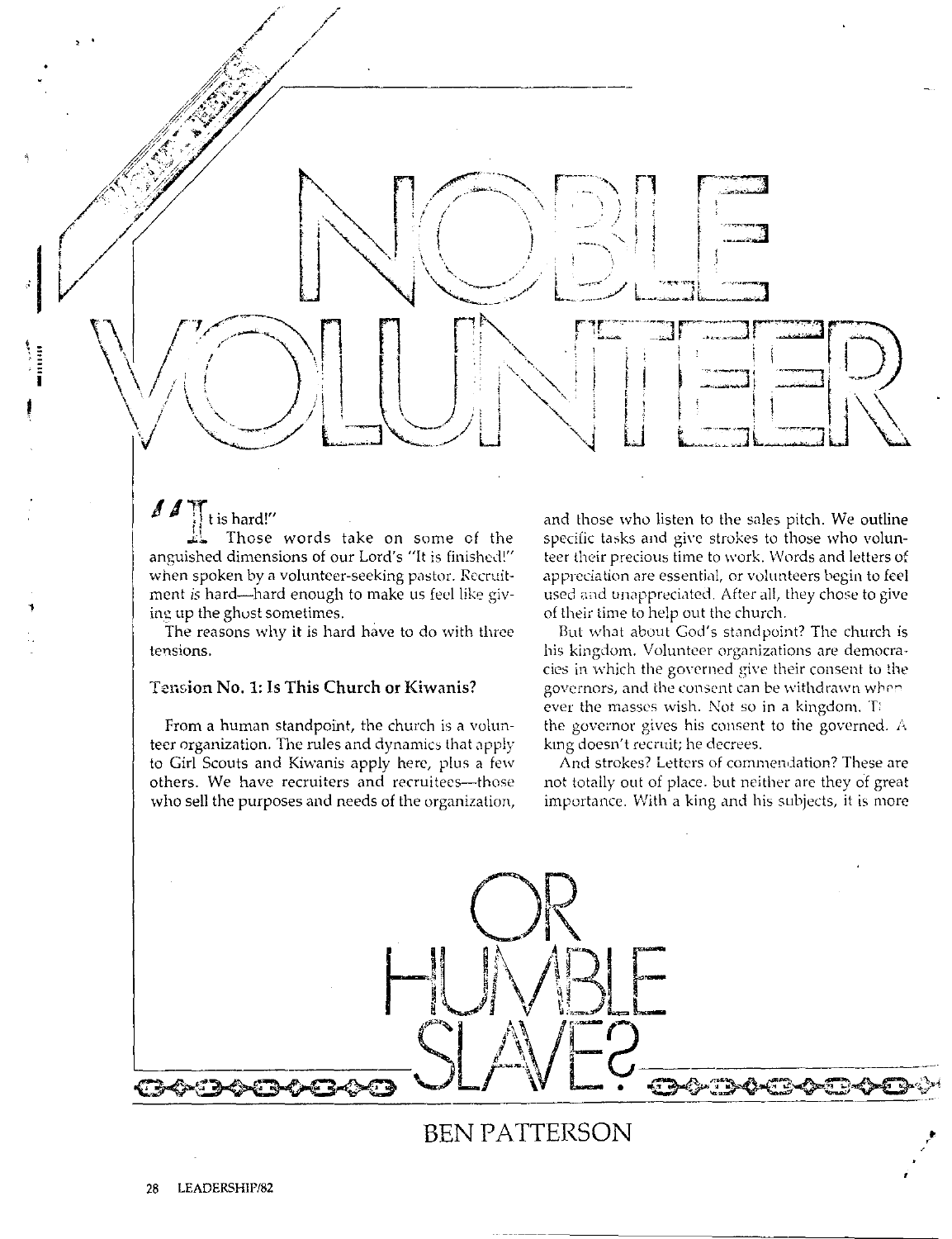$\blacksquare$ *I*  $\uparrow$   $\uparrow$  is hard!"

**1** 

Those words take on some of the anguished dimensions of our Lord's "It is finished!" when spoken by a volunteer-seeking pastor. Recruitment is hard-hard enough to make us feel like giving up the ghost sometimes.

The reasons why it is hard have to do with three tensions.

## Tension No. 1: Is This Church or Kiwanis?

834-34

From a human standpoint, the church is a volunteer organization. The rules and dynamics that apply to Girl Scouts and Kiwanis apply here, plus a few others. We have recruiters and recruitees--those who sell the purposes and needs of the organization,

and those who listen to the sales pitch. We outline specific tasks and give strokes to those who volunteer their precious time to work. Words and letters of appreciation are essential, or volunteers begin to feel used and unappreciated. After all, they chose to give of their time to help out the church.

But what about God's standpoint? The church is his kingdom. Volunteer organizations are democracies in which the governed give their consent to the governors, and lhe consent can be withdrawn wbrn ever the masses wish. Not so in a kingdom. The the governor gives his consent to the governed. *i,*  kmg doesn't recruit; he decrees.

And strokes? Letters of commendation? These are not totaily out of place. but neither are they of great importance. With a king and his subjects, it is more

**BEN PATTERSON**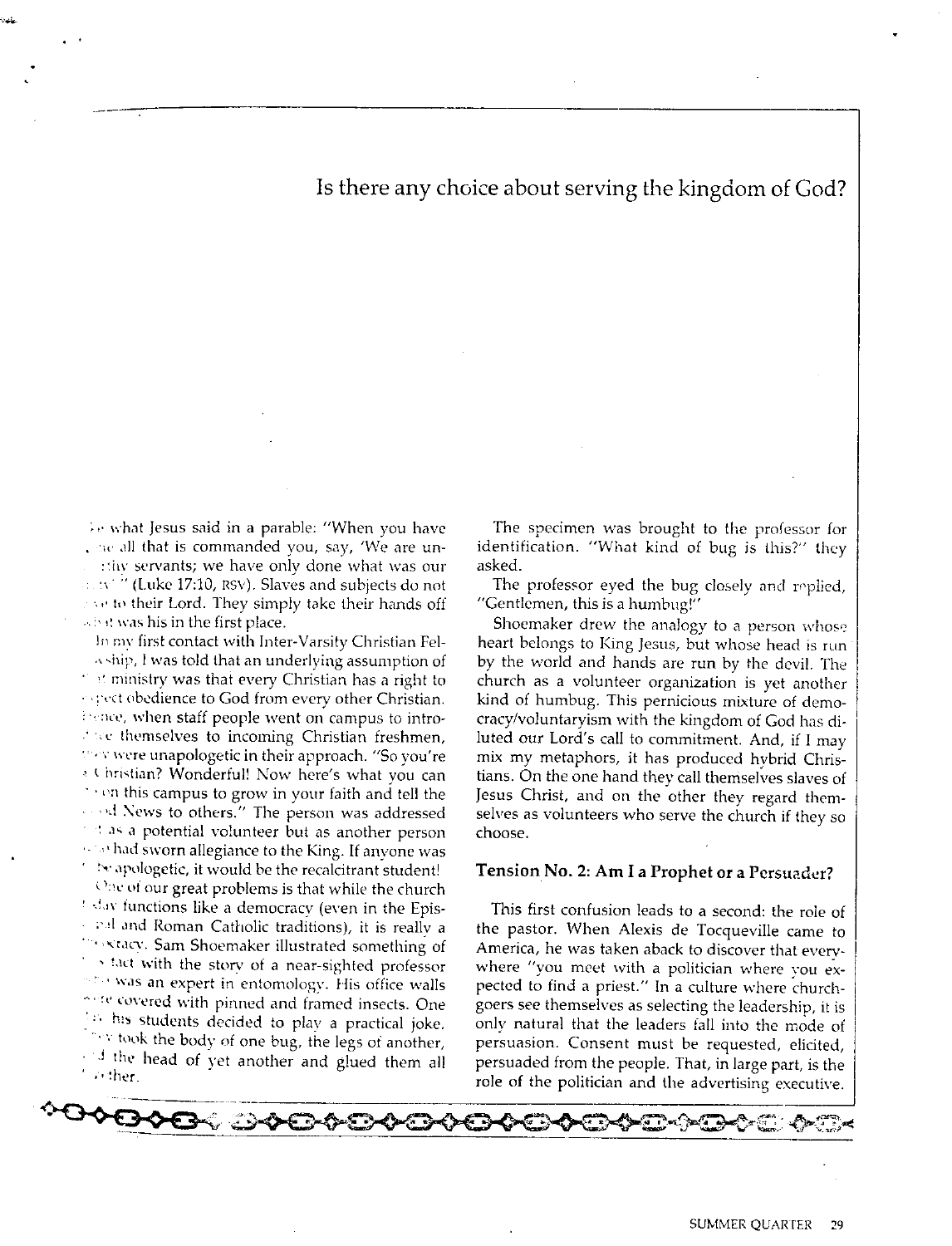Is there any choice about serving the kingdom of God?

 $\lambda$ e what Jesus said in a parable: "When you have , she all that is commanded you, say, 'We are un-:thy servants; we have only done what was our  $\sim$   $\sim$   $^{\prime\prime}$  (Luke 17:10, RSV). Slaves and subjects do not  $\sim$  to their Lord. They simply take their hands off ,·. :, ,i \,·as his in *the* first place.

In my first contact with Inter-Varsity Christian Fel- $\alpha$ , ship, I was told that an underlying assumption of ·· ministry was that every Christian has a right to seect obedience to God from every other Christian. beince, when staff people went on campus to intro-, we themselves to incoming Christian freshmen, They were unapologetic in their approach. "So you're  $\rightarrow$  Christian? Wonderful! Now here's what you can  $\cdot$   $\cdot$   $\circ$ n this campus to grow in your faith and tell the  $\cdots$ <sup>d</sup> News to others." The person was addressed  $\pm$  as a potential volunteer but as another person  $\cdots$  had sworn allegiance to the King. If anyone was  $\sim$  be apologetic, it would be the recalcitrant student!

One of our great problems is that while the church  $\pm$  day functions like a democracy (even in the Epis- $\cdot$   $\cdot$  and Roman Catholic traditions), it is really a **Firstacy.** Sam Shoemaker illustrated something of  $\rightarrow$  1act with the story of a near-sighted professor  $^{\circ}$  " was an expert in entomology. His office walls " "<sup>electe</sup> covered with pinned and framed insects. One . '· hs students decided to plav a practical joke.  $\sim$  took the body of one bug, the legs of another,  $\frac{1}{\sqrt{1 + \frac{1}{\pi}}}$  the head of yet another and glued them all

The specimen was brought to the professor for identification. "What kind of bug is this?" they asked.

The professor eyed the bug closely and replied, "Gentlemen, this is a humbug!"

Shoemaker drew the analogy to a person whose heart belongs to King Jesus, but whose head is run by the world and hands are run by the devil. The church as a volunteer organization is yet another kind of humbug. This pernicious mixture of democracy/voluntaryism with the kingdom of God has diluted our Lord's call to commitment. And, if I may mix my metaphors, it has produced hvbrid Christians. On the one hand they call themselves slaves of Jesus Christ, and on the other they regard themselves as volunteers who serve the church if they so choose.

#### **Tension No. 2: Am** I **a Prophet or a Persuader?**

This first confusion leads to a second: the role of the pastor. When Alexis de Tocqueville came to America, he was taken aback to discover that everywhere "you meet with a politician where you expected to find a priest." In a culture where churchgoers sec themselves as selecting the leadership, it is only natural that the leaders fall into the mode of persuasion. Consent must be requested, elicited, persuaded from the people. That, in large part, is the role of the politician and the advertising executive.

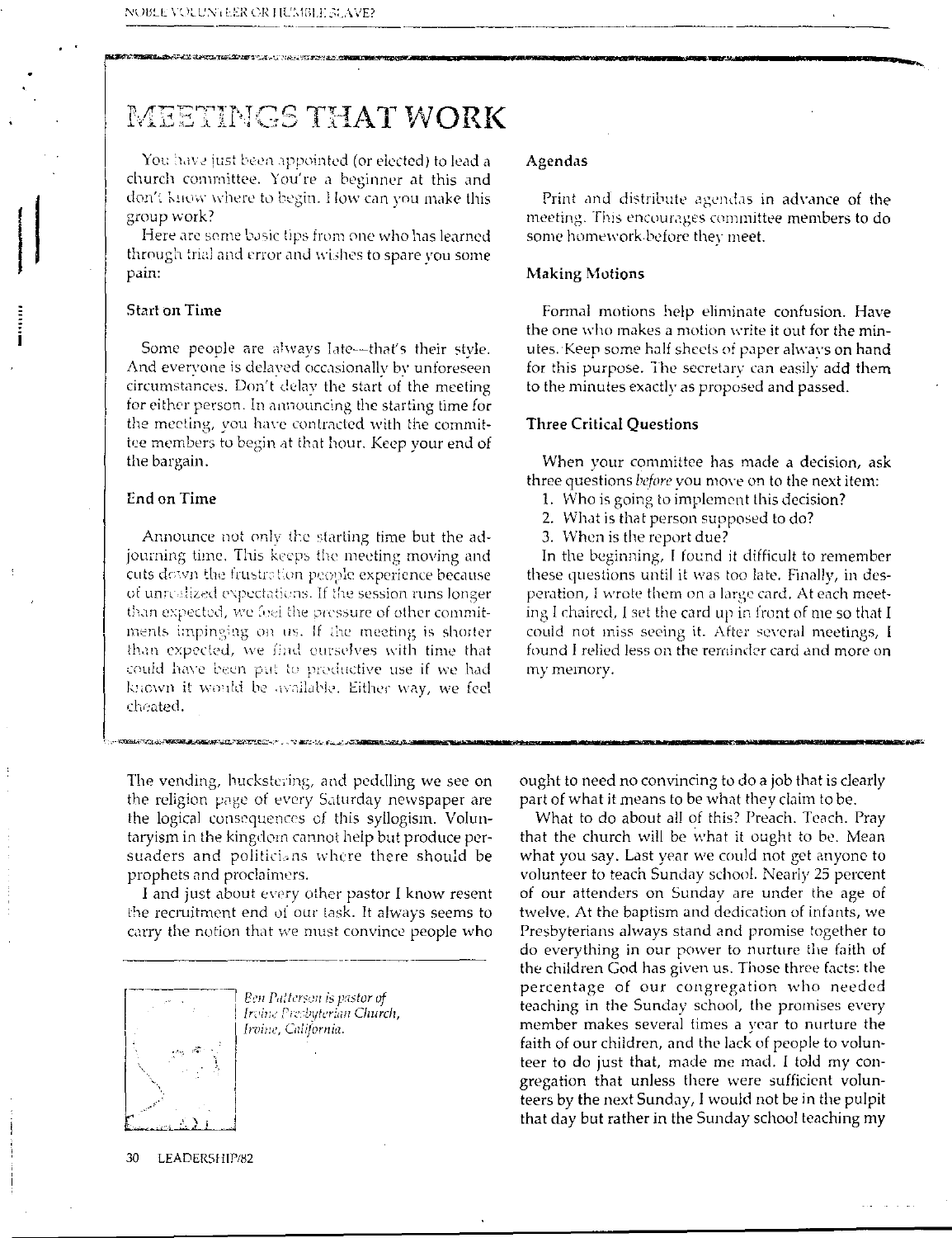# MEETINGS THAT WORK

You have just been appointed (or elected) to lead a church committee. You're a beginner at this and don't know where to begin. How can you make this group work?

Here are some basic tips from one who has learned through trial and error and wishes to spare you some pain:

## **Start on Time**

Some people are always late---that's their style. And everyone is delaved occasionally by unforeseen circumstances. Don't delay the start of the meeting for either person. In announcing the starting time for the meeting, you have contracted with the committee members to begin at that hour. Keep your end of the bargain.

#### End on Time

Announce not only the starting time but the adjourning time. This keeps the meeting moving and cuts down the frustration people experience because of unrealized expectations. If the session runs longer than expected, we feel the pressure of other commitments impinging on us. If the meeting is shorter than expected, we find ourselves with time that could have been put to productive use if we had known it would be available. Either way, we feel cheated.

The vending, huckstering, and peddling we see on the religion page of every Saturday newspaper are the logical consequences of this syllogism. Voluntaryism in the kingdom cannot help but produce persuaders and politicians where there should be prophets and proclaimers.

I and just about every other pastor I know resent the recruitment end of our task. It always seems to carry the notion that we must convince people who



Ben Patterson is pastor of Irvine Presbyterian Church, Irvine, California.

#### Agendas

Print and distribute agendas in advance of the meeting. This encourages committee members to do some homework before they meet.

#### **Making Motions**

Formal motions help eliminate confusion. Have the one who makes a motion write it out for the minutes. Keep some half sheets of paper always on hand for this purpose. The secretary can easily add them to the minutes exactly as proposed and passed.

#### **Three Critical Questions**

When your committee has made a decision, ask three questions *before* you move on to the next item:

- 1. Who is going to implement this decision?
- 2. What is that person supposed to do?
- 3. When is the report due?

In the beginning, I found it difficult to remember these questions until it was too late. Finally, in desperation, I wrote them on a large card. At each meeting I chaired. I set the card up in front of me so that I could not miss seeing it. After several meetings, I found I relied less on the reminder card and more on my memory.

ought to need no convincing to do a job that is clearly part of what it means to be what they claim to be.

What to do about all of this? Preach. Teach. Pray that the church will be what it ought to be. Mean what you say. Last year we could not get anyone to volunteer to teach Sunday school. Nearly 25 percent of our attenders on Sunday are under the age of twelve. At the baptism and dedication of infants, we Presbyterians always stand and promise together to do everything in our power to nurture the faith of the children God has given us. Those three facts: the percentage of our congregation who needed teaching in the Sunday school, the promises every member makes several times a vear to nurture the faith of our children, and the lack of people to volunteer to do just that, made me mad. I told my congregation that unless there were sufficient volunteers by the next Sunday, I would not be in the pulpit that day but rather in the Sunday school teaching my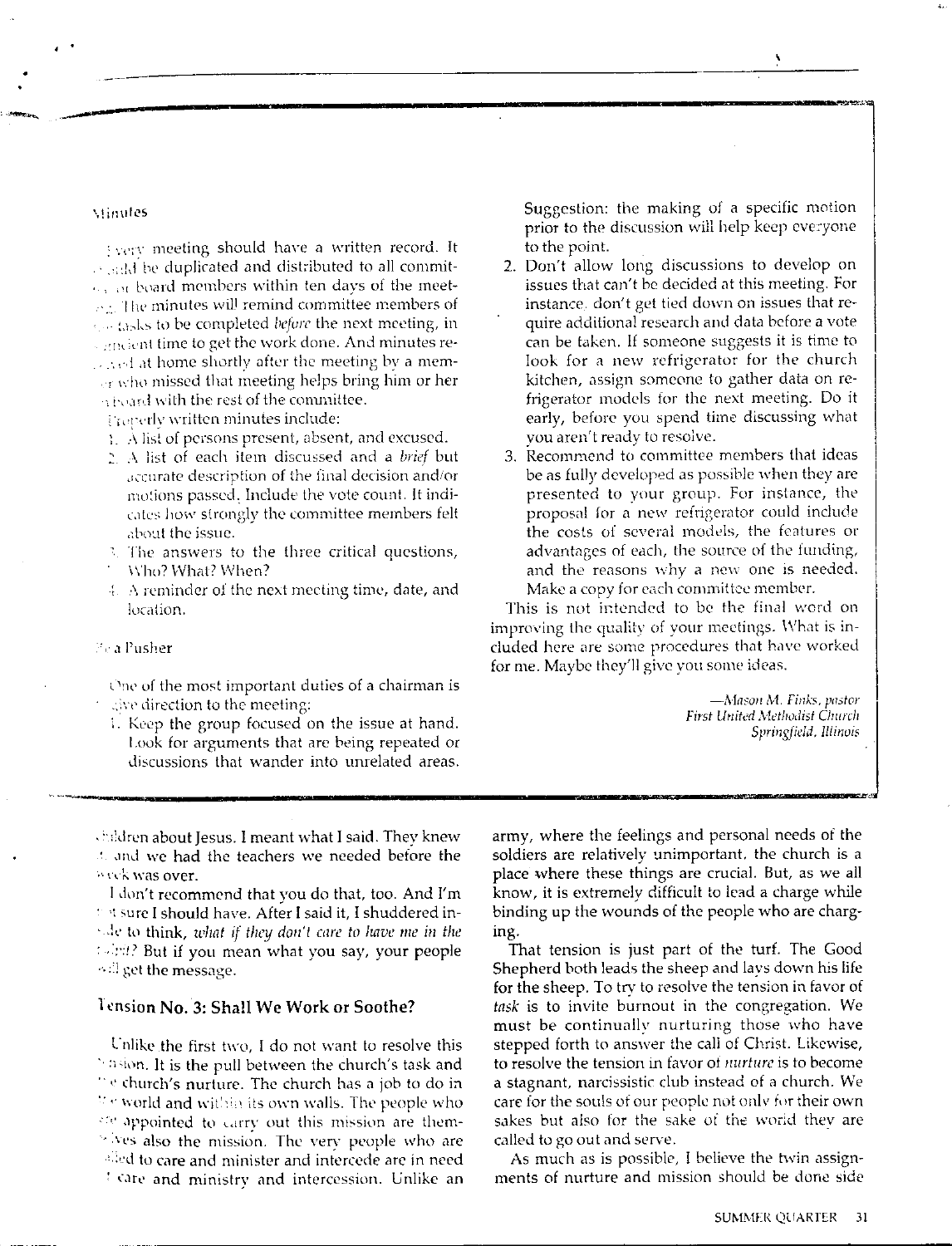#### viinutes

Syery meeting should have a written record. It s said be duplicated and distributed to all commitor or board members within ten days of the meetex. The minutes will remind committee members of son tasks to be completed before the next meeting, in conclent time to get the work done. And minutes reand at home shortly after the meeting by a memer who missed that meeting helps bring him or her a board with the rest of the committee.

Froperly written minutes include:

- 1. A list of persons present, absent, and excused.
- 2. A list of each item discussed and a brief but accurate description of the final decision and/or motions passed. Include the vote count. It indicates how strongly the committee members felt about the issue.
- 3. The answers to the three critical questions, Who? What? When?
- $\ddagger$ . A reminder of the next meeting time, date, and location.

#### Fe a Pusher

One of the most important duties of a chairman is give direction to the meeting:

1. Keep the group focused on the issue at hand. Look for arguments that are being repeated or discussions that wander into unrelated areas.

children about Jesus. I meant what I said. They knew t and we had the teachers we needed before the week was over.

I don't recommend that you do that, too. And I'm this sure I should have. After I said it, I shuddered inside to think, what if they don't care to have me in the (sirit? But if you mean what you say, your people <sup>3</sup>.<sup>2</sup> get the message.

### Tension No. 3: Shall We Work or Soothe?

Unlike the first two, I do not want to resolve this basion. It is the pull between the church's task and "<sup>o</sup> church's nurture. The church has a job to do in We world and within its own walls. The people who are appointed to carry out this mission are themwives also the mission. The very people who are alled to care and minister and intercede are in need <sup>1</sup> care and ministry and intercession. Unlike an Suggestion: the making of a specific motion prior to the discussion will help keep everyone to the point.

- 2. Don't allow long discussions to develop on issues that can't be decided at this meeting. For instance. don't get tied down on issues that require additional research and data before a vote can be taken. If someone suggests it is time to look for a new refrigerator for the church kitchen, assign someone to gather data on refrigerator models for the next meeting. Do it early, before you spend time discussing what you aren't ready to resolve.
- 3. Recommend to committee members that ideas be as fully developed as possible when they are presented to your group. For instance, the proposal for a new refrigerator could include the costs of several models, the features or advantages of each, the source of the funding, and the reasons why a new one is needed. Make a copy for each committee member.

This is not intended to be the final word on improving the quality of your meetings. What is included here are some procedures that have worked for me. Maybe they'll give you some ideas.

> -Mason M. Finks, pastor First United Methodist Church Springfield, Illinois

army, where the feelings and personal needs of the soldiers are relatively unimportant, the church is a place where these things are crucial. But, as we all know, it is extremely difficult to lead a charge while binding up the wounds of the people who are charging.

That tension is just part of the turf. The Good Shepherd both leads the sheep and lavs down his life for the sheep. To try to resolve the tension in favor of task is to invite burnout in the congregation. We must be continually nurturing those who have stepped forth to answer the call of Christ. Likewise, to resolve the tension in favor of *nurture* is to become a stagnant, narcissistic club instead of a church. We care for the souls of our people not only for their own sakes but also for the sake of the world they are called to go out and serve.

As much as is possible, I believe the twin assignments of nurture and mission should be done side